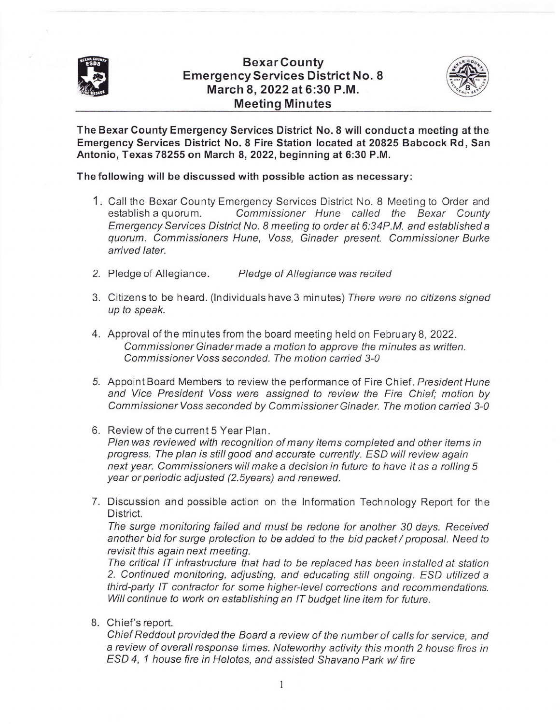

## BexarCounty EmergencyServices District No. 8 March 8,2022 at 6:30 P.M. Meeting Minutes



The Bexar County Emergency Seruices District No.8 will conducta meeting at the Emergency Services District No. 8 Fire Station located at 20825 Babcock Rd, San Antonio, Texas 78255 on March 8, 2022, beginning at 6:30 P.M.

The following will be discussed with possible action as necessary:

- 1. Call the Bexar County Emergency Services District No. 8 Meeting to Order and establish a quorum. Commissioner Hune called the Bexar County Emergency Services District No. 8 meeting to order at 6:34P.M. and established a quorum. Commissioners Hune, Voss, Ginader present. Commissioner Burke arrived later.
- 2. Pledge of Allegiance. Pledge of Allegiance was recited
- 3. Citizens to be heard. (Individuals have 3 minutes) There were no citizens signed up to speak.
- 4. Approval of the minutes from the board meeting held on February 8,2022. Commissioner Ginader made a motion to approve the minutes as written. Commissioner Voss seconded. The motion carried 3-0
- 5. Appoint Board Members to review the performance of Fire Chief. President Hune and Vice President Voss were assigned to review the Fire Chief; motion by Commissioner Voss seconded by Commissioner Ginader. The motion carried 3-0
- 6. Review of the current 5 Year Plan. Plan was reviewed with recognition of many items completed and other items in progress. The plan is still good and accurate currently. ESD will review again next year. Commissionerswill make a decision in future to have it as a rolling 5 year or periodic adjusted (2.Syears) and renewed.
- 7. Discussion and possible action on the Information Technology Report for the District.

The surge monitoring failed and must be redone for another 30 days. Received another bid for surge protection to be added to the bid packet / proposal. Need to revisit this again next meeting.

The critical lT infrastructure that had to be replaced has been installed at station 2. Continued monitoring, adjusting, and educating still ongoing. ESD utilized a third-party lT contractor for some higher-level corrections and recommendations. Will continue to work on establishing an IT budget line item for future.

8. Chief's report.

Chief Reddout provided the Board a review of the number of calls for seryice, and a review of overall response times. Noteworthy activity this month 2 house fires in ESD 4, 1 house fire in Helotes, and assisted Shavano Park w/ fire